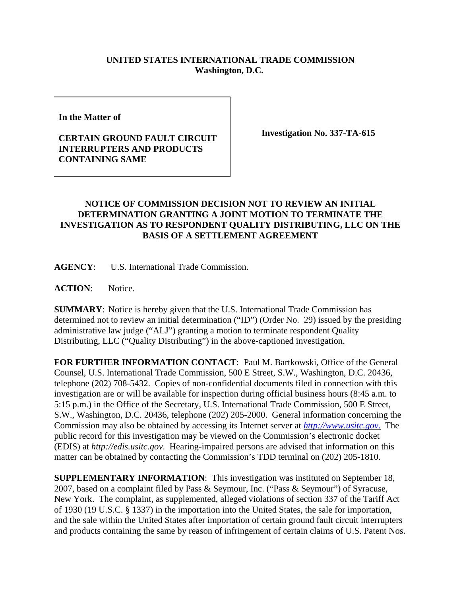## **UNITED STATES INTERNATIONAL TRADE COMMISSION Washington, D.C.**

**In the Matter of** 

## **CERTAIN GROUND FAULT CIRCUIT INTERRUPTERS AND PRODUCTS CONTAINING SAME**

**Investigation No. 337-TA-615**

## **NOTICE OF COMMISSION DECISION NOT TO REVIEW AN INITIAL DETERMINATION GRANTING A JOINT MOTION TO TERMINATE THE INVESTIGATION AS TO RESPONDENT QUALITY DISTRIBUTING, LLC ON THE BASIS OF A SETTLEMENT AGREEMENT**

**AGENCY**: U.S. International Trade Commission.

**ACTION**: Notice.

**SUMMARY**: Notice is hereby given that the U.S. International Trade Commission has determined not to review an initial determination ("ID") (Order No. 29) issued by the presiding administrative law judge ("ALJ") granting a motion to terminate respondent Quality Distributing, LLC ("Quality Distributing") in the above-captioned investigation.

**FOR FURTHER INFORMATION CONTACT**: Paul M. Bartkowski, Office of the General Counsel, U.S. International Trade Commission, 500 E Street, S.W., Washington, D.C. 20436, telephone (202) 708-5432. Copies of non-confidential documents filed in connection with this investigation are or will be available for inspection during official business hours (8:45 a.m. to 5:15 p.m.) in the Office of the Secretary, U.S. International Trade Commission, 500 E Street, S.W., Washington, D.C. 20436, telephone (202) 205-2000. General information concerning the Commission may also be obtained by accessing its Internet server at *http://www.usitc.gov*. The public record for this investigation may be viewed on the Commission's electronic docket (EDIS) at *http://edis.usitc.gov*. Hearing-impaired persons are advised that information on this matter can be obtained by contacting the Commission's TDD terminal on (202) 205-1810.

**SUPPLEMENTARY INFORMATION**: This investigation was instituted on September 18, 2007, based on a complaint filed by Pass & Seymour, Inc. ("Pass & Seymour") of Syracuse, New York. The complaint, as supplemented, alleged violations of section 337 of the Tariff Act of 1930 (19 U.S.C. § 1337) in the importation into the United States, the sale for importation, and the sale within the United States after importation of certain ground fault circuit interrupters and products containing the same by reason of infringement of certain claims of U.S. Patent Nos.